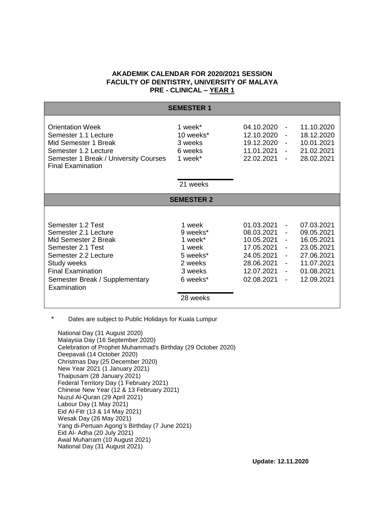## **AKADEMIK CALENDAR FOR 2020/2021 SESSION FACULTY OF DENTISTRY, UNIVERSITY OF MALAYA PRE - CLINICAL – YEAR 1**

| <b>SEMESTER 1</b>                                                                                                                                                                                          |                                                                                                   |                                                                                                              |                                                                                |                                                                                                              |  |  |
|------------------------------------------------------------------------------------------------------------------------------------------------------------------------------------------------------------|---------------------------------------------------------------------------------------------------|--------------------------------------------------------------------------------------------------------------|--------------------------------------------------------------------------------|--------------------------------------------------------------------------------------------------------------|--|--|
| <b>Orientation Week</b><br>Semester 1.1 Lecture<br>Mid Semester 1 Break<br>Semester 1.2 Lecture<br>Semester 1 Break / University Courses<br><b>Final Examination</b>                                       | 1 week*<br>10 weeks*<br>3 weeks<br>6 weeks<br>1 week*                                             | 04.10.2020<br>12.10.2020<br>19.12.2020<br>11.01.2021<br>22.02.2021                                           | $\overline{\phantom{a}}$<br>$\blacksquare$<br>$\blacksquare$<br>$\blacksquare$ | 11.10.2020<br>18.12.2020<br>10.01.2021<br>21.02.2021<br>28.02.2021                                           |  |  |
|                                                                                                                                                                                                            | 21 weeks                                                                                          |                                                                                                              |                                                                                |                                                                                                              |  |  |
| <b>SEMESTER 2</b>                                                                                                                                                                                          |                                                                                                   |                                                                                                              |                                                                                |                                                                                                              |  |  |
| Semester 1.2 Test<br>Semester 2.1 Lecture<br>Mid Semester 2 Break<br>Semester 2.1 Test<br>Semester 2.2 Lecture<br>Study weeks<br><b>Final Examination</b><br>Semester Break / Supplementary<br>Examination | 1 week<br>9 weeks*<br>1 week*<br>1 week<br>5 weeks*<br>2 weeks<br>3 weeks<br>6 weeks*<br>28 weeks | 01.03.2021<br>08.03.2021<br>10.05.2021<br>17.05.2021<br>24.05.2021<br>28.06.2021<br>12.07.2021<br>02.08.2021 | $\blacksquare$<br>$\blacksquare$<br>$\blacksquare$<br>$\overline{\phantom{a}}$ | 07.03.2021<br>09.05.2021<br>16.05.2021<br>23.05.2021<br>27.06.2021<br>11.07.2021<br>01.08.2021<br>12.09.2021 |  |  |

\* Dates are subject to Public Holidays for Kuala Lumpur

National Day (31 August 2020) Malaysia Day (16 September 2020) Celebration of Prophet Muhammad's Birthday (29 October 2020) Deepavali (14 October 2020) Christmas Day (25 December 2020) New Year 2021 (1 January 2021) Thaipusam (28 January 2021) Federal Territory Day (1 February 2021) Chinese New Year (12 & 13 February 2021) Nuzul Al-Quran (29 April 2021) Labour Day (1 May 2021) Eid Al-Fitr (13 & 14 May 2021) Wesak Day (26 May 2021) Yang di-Pertuan Agong's Birthday (7 June 2021) Eid Al- Adha (20 July 2021) Awal Muharram (10 August 2021) National Day (31 August 2021)

 **Update: 12.11.2020**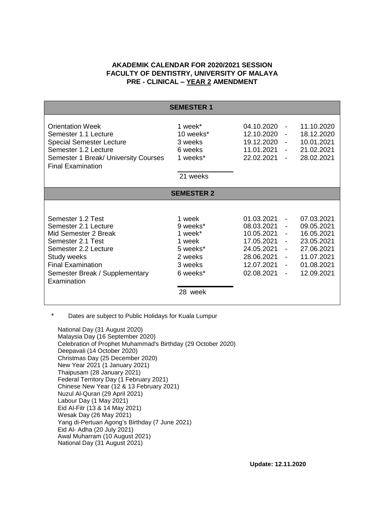## **AKADEMIK CALENDAR FOR 2020/2021 SESSION FACULTY OF DENTISTRY, UNIVERSITY OF MALAYA PRE - CLINICAL – YEAR 2 AMENDMENT**

| <b>SEMESTER 1</b>                                                                                                                                                                                          |                                                                                                  |                                                                                                              |                                                                                                                                                                            |                                                                                                              |  |  |
|------------------------------------------------------------------------------------------------------------------------------------------------------------------------------------------------------------|--------------------------------------------------------------------------------------------------|--------------------------------------------------------------------------------------------------------------|----------------------------------------------------------------------------------------------------------------------------------------------------------------------------|--------------------------------------------------------------------------------------------------------------|--|--|
| <b>Orientation Week</b><br>Semester 1.1 Lecture<br><b>Special Semester Lecture</b><br>Semester 1.2 Lecture<br>Semester 1 Break/ University Courses<br><b>Final Examination</b>                             | 1 week*<br>10 weeks*<br>3 weeks<br>6 weeks<br>1 weeks*                                           | 04.10.2020<br>12.10.2020<br>19.12.2020<br>11.01.2021<br>22.02.2021                                           | $\overline{\phantom{a}}$<br>$\overline{\phantom{a}}$<br>$\overline{\phantom{a}}$<br>$\overline{\phantom{a}}$                                                               | 11.10.2020<br>18.12.2020<br>10.01.2021<br>21.02.2021<br>28.02.2021                                           |  |  |
|                                                                                                                                                                                                            | 21 weeks                                                                                         |                                                                                                              |                                                                                                                                                                            |                                                                                                              |  |  |
| <b>SEMESTER 2</b>                                                                                                                                                                                          |                                                                                                  |                                                                                                              |                                                                                                                                                                            |                                                                                                              |  |  |
| Semester 1.2 Test<br>Semester 2.1 Lecture<br>Mid Semester 2 Break<br>Semester 2.1 Test<br>Semester 2.2 Lecture<br>Study weeks<br><b>Final Examination</b><br>Semester Break / Supplementary<br>Examination | 1 week<br>9 weeks*<br>1 week*<br>1 week<br>5 weeks*<br>2 weeks<br>3 weeks<br>6 weeks*<br>28 week | 01.03.2021<br>08.03.2021<br>10.05.2021<br>17.05.2021<br>24.05.2021<br>28.06.2021<br>12.07.2021<br>02.08.2021 | $\blacksquare$<br>$\overline{\phantom{a}}$<br>$\overline{\phantom{a}}$<br>$\blacksquare$<br>$\blacksquare$<br>$\blacksquare$<br>$\blacksquare$<br>$\overline{\phantom{a}}$ | 07.03.2021<br>09.05.2021<br>16.05.2021<br>23.05.2021<br>27.06.2021<br>11.07.2021<br>01.08.2021<br>12.09.2021 |  |  |

\* Dates are subject to Public Holidays for Kuala Lumpur

National Day (31 August 2020) Malaysia Day (16 September 2020) Celebration of Prophet Muhammad's Birthday (29 October 2020) Deepavali (14 October 2020) Christmas Day (25 December 2020) New Year 2021 (1 January 2021) Thaipusam (28 January 2021) Federal Territory Day (1 February 2021) Chinese New Year (12 & 13 February 2021) Nuzul Al-Quran (29 April 2021) Labour Day (1 May 2021) Eid Al-Fitr (13 & 14 May 2021) Wesak Day (26 May 2021) Yang di-Pertuan Agong's Birthday (7 June 2021) Eid Al- Adha (20 July 2021) Awal Muharram (10 August 2021) National Day (31 August 2021)